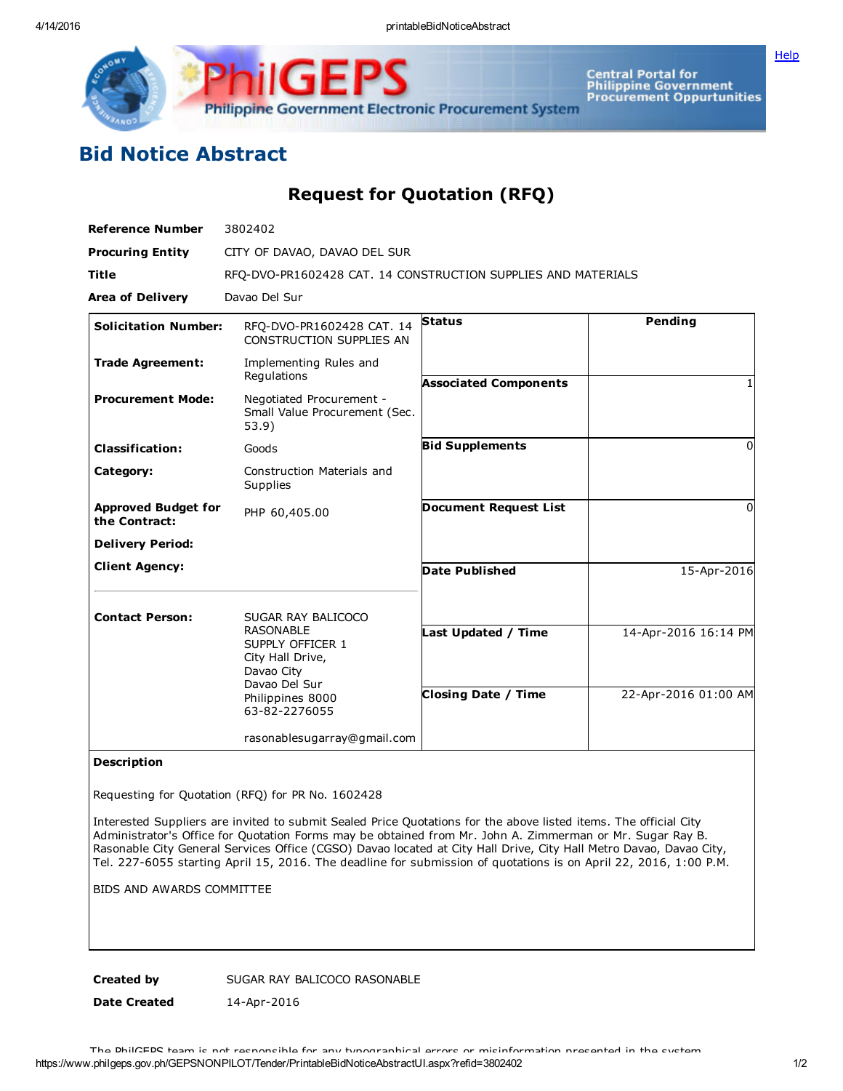IGF Philippine Government Electronic Procurement System

Central Portal for<br>Philippine Government<br>Procurement Oppurtunities

**[Help](javascript:void(window.open()** 

## Bid Notice Abstract

Request for Quotation (RFQ)

| <b>Reference Number</b>                     | 3802402                                                                                                                           |                                                   |                                              |
|---------------------------------------------|-----------------------------------------------------------------------------------------------------------------------------------|---------------------------------------------------|----------------------------------------------|
| <b>Procuring Entity</b>                     | CITY OF DAVAO, DAVAO DEL SUR                                                                                                      |                                                   |                                              |
| <b>Title</b>                                | RFQ-DVO-PR1602428 CAT. 14 CONSTRUCTION SUPPLIES AND MATERIALS                                                                     |                                                   |                                              |
| <b>Area of Delivery</b>                     | Davao Del Sur                                                                                                                     |                                                   |                                              |
| <b>Solicitation Number:</b>                 | RFO-DVO-PR1602428 CAT. 14<br>CONSTRUCTION SUPPLIES AN                                                                             | <b>Status</b>                                     | Pending                                      |
| <b>Trade Agreement:</b>                     | Implementing Rules and<br>Regulations                                                                                             | <b>Associated Components</b>                      |                                              |
| <b>Procurement Mode:</b>                    | Negotiated Procurement -<br>Small Value Procurement (Sec.<br>53.9)                                                                |                                                   |                                              |
| <b>Classification:</b>                      | Goods                                                                                                                             | <b>Bid Supplements</b>                            | $\Omega$                                     |
| Category:                                   | Construction Materials and<br><b>Supplies</b>                                                                                     |                                                   |                                              |
| <b>Approved Budget for</b><br>the Contract: | PHP 60,405.00                                                                                                                     | <b>Document Request List</b>                      | $\Omega$                                     |
| <b>Delivery Period:</b>                     |                                                                                                                                   |                                                   |                                              |
| <b>Client Agency:</b>                       |                                                                                                                                   | <b>Date Published</b>                             | 15-Apr-2016                                  |
| <b>Contact Person:</b>                      | SUGAR RAY BALICOCO<br><b>RASONABLE</b><br>SUPPLY OFFICER 1<br>City Hall Drive,<br>Davao City<br>Davao Del Sur<br>Philippines 8000 | Last Updated / Time<br><b>Closing Date / Time</b> | 14-Apr-2016 16:14 PM<br>22-Apr-2016 01:00 AM |
|                                             | 63-82-2276055                                                                                                                     |                                                   |                                              |
|                                             | rasonablesugarray@gmail.com                                                                                                       |                                                   |                                              |

## Description

Requesting for Quotation (RFQ) for PR No. 1602428

Interested Suppliers are invited to submit Sealed Price Quotations for the above listed items. The official City Administrator's Office for Quotation Forms may be obtained from Mr. John A. Zimmerman or Mr. Sugar Ray B. Rasonable City General Services Office (CGSO) Davao located at City Hall Drive, City Hall Metro Davao, Davao City, Tel. 227-6055 starting April 15, 2016. The deadline for submission of quotations is on April 22, 2016, 1:00 P.M.

BIDS AND AWARDS COMMITTEE

Created by SUGAR RAY BALICOCO RASONABLE

Date Created 14-Apr-2016

https://www.philgeps.gov.ph/GEPSNONPILOT/Tender/PrintableBidNoticeAbstractUI.aspx?refid=3802402 1/2 The PhilGEPS team is not responsible for any typographical errors or misinformation presented in the system.